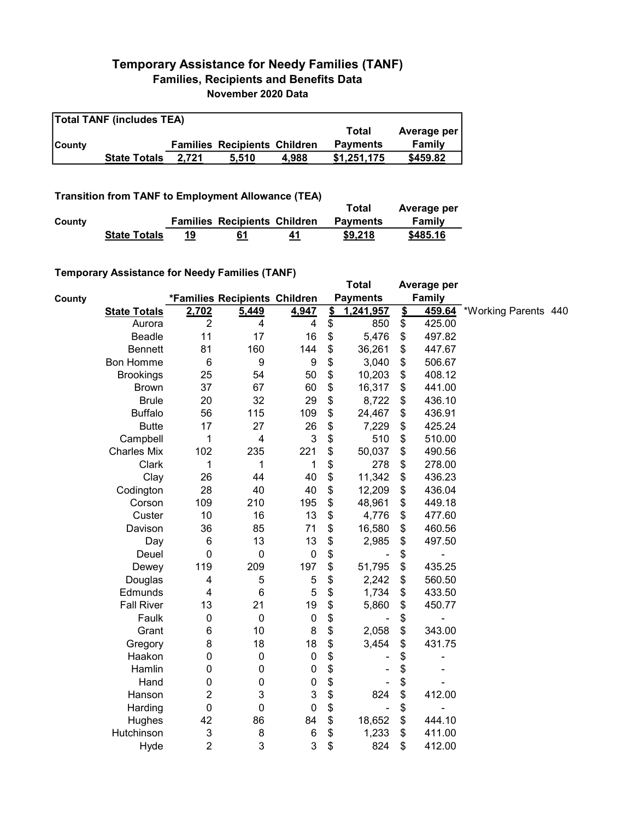## Temporary Assistance for Needy Families (TANF) Families, Recipients and Benefits Data November 2020 Data

| <b>Total TANF (includes TEA)</b> |                     |       |                                     |       |                 |             |  |  |
|----------------------------------|---------------------|-------|-------------------------------------|-------|-----------------|-------------|--|--|
|                                  |                     |       |                                     |       | Total           | Average per |  |  |
| <b>County</b>                    |                     |       | <b>Families Recipients Children</b> |       | <b>Payments</b> | Family      |  |  |
|                                  | <b>State Totals</b> | 2.721 | 5.510                               | 4.988 | \$1.251.175     | \$459.82    |  |  |

Transition from TANF to Employment Allowance (TEA)

|        | <b>ITAIISIUUII IIUIII TANT LU EIIIPIUVIIIEIIL AIIUWAIICE (TEA)</b> |    | Total                               | Average per |                 |          |
|--------|--------------------------------------------------------------------|----|-------------------------------------|-------------|-----------------|----------|
| County |                                                                    |    | <b>Families Recipients Children</b> |             | <b>Payments</b> | Family   |
|        | <b>State Totals</b>                                                | 19 | 61                                  | 41          | \$9,218         | \$485.16 |

## Temporary Assistance for Needy Families (TANF)

|        | $\frac{1}{2}$ componently resolved in the result of the control of $\frac{1}{2}$ |                           |                               |                           |                         | <b>Total</b>    |                         | Average per   |                      |  |
|--------|----------------------------------------------------------------------------------|---------------------------|-------------------------------|---------------------------|-------------------------|-----------------|-------------------------|---------------|----------------------|--|
| County |                                                                                  |                           | *Families Recipients Children |                           |                         | <b>Payments</b> |                         | <b>Family</b> |                      |  |
|        | <b>State Totals</b>                                                              | 2,702                     | 5,449                         | 4,947                     | $\overline{\mathbf{S}}$ | 1,241,957       | $\overline{\mathbf{S}}$ | 459.64        | *Working Parents 440 |  |
|        | Aurora                                                                           | $\overline{2}$            | 4                             | 4                         | \$                      | 850             | \$                      | 425.00        |                      |  |
|        | Beadle                                                                           | 11                        | 17                            | 16                        | \$                      | 5,476           | \$                      | 497.82        |                      |  |
|        | <b>Bennett</b>                                                                   | 81                        | 160                           | 144                       | \$                      | 36,261          | \$                      | 447.67        |                      |  |
|        | <b>Bon Homme</b>                                                                 | $\,6$                     | $\boldsymbol{9}$              | $\boldsymbol{9}$          | \$                      | 3,040           | \$                      | 506.67        |                      |  |
|        | <b>Brookings</b>                                                                 | 25                        | 54                            | 50                        | \$                      | 10,203          | \$                      | 408.12        |                      |  |
|        | <b>Brown</b>                                                                     | 37                        | 67                            | 60                        | \$                      | 16,317          | \$                      | 441.00        |                      |  |
|        | <b>Brule</b>                                                                     | 20                        | 32                            | 29                        | \$                      | 8,722           | \$                      | 436.10        |                      |  |
|        | <b>Buffalo</b>                                                                   | 56                        | 115                           | 109                       | \$                      | 24,467          | \$                      | 436.91        |                      |  |
|        | <b>Butte</b>                                                                     | 17                        | 27                            | 26                        | \$                      | 7,229           | \$                      | 425.24        |                      |  |
|        | Campbell                                                                         | 1                         | $\overline{\mathbf{4}}$       | $\mathbf{3}$              | \$                      | 510             | \$                      | 510.00        |                      |  |
|        | <b>Charles Mix</b>                                                               | 102                       | 235                           | 221                       | \$                      | 50,037          | \$                      | 490.56        |                      |  |
|        | Clark                                                                            | 1                         | 1                             | 1                         | \$                      | 278             | \$                      | 278.00        |                      |  |
|        | Clay                                                                             | 26                        | 44                            | 40                        | \$                      | 11,342          | \$                      | 436.23        |                      |  |
|        | Codington                                                                        | 28                        | 40                            | 40                        | \$                      | 12,209          | \$                      | 436.04        |                      |  |
|        | Corson                                                                           | 109                       | 210                           | 195                       | \$                      | 48,961          | \$                      | 449.18        |                      |  |
|        | Custer                                                                           | 10                        | 16                            | 13                        | \$                      | 4,776           | \$                      | 477.60        |                      |  |
|        | Davison                                                                          | 36                        | 85                            | 71                        | \$                      | 16,580          | \$                      | 460.56        |                      |  |
|        | Day                                                                              | 6                         | 13                            | 13                        | \$                      | 2,985           | \$                      | 497.50        |                      |  |
|        | Deuel                                                                            | $\mathbf 0$               | $\pmb{0}$                     | $\pmb{0}$                 | \$                      |                 | \$                      |               |                      |  |
|        | Dewey                                                                            | 119                       | 209                           | 197                       | \$                      | 51,795          | \$                      | 435.25        |                      |  |
|        | Douglas                                                                          | 4                         | 5                             | $\sqrt{5}$                | \$                      | 2,242           | \$                      | 560.50        |                      |  |
|        | Edmunds                                                                          | $\overline{\mathbf{4}}$   | $6\phantom{1}6$               | 5                         | \$                      | 1,734           | \$                      | 433.50        |                      |  |
|        | <b>Fall River</b>                                                                | 13                        | 21                            | 19                        | \$                      | 5,860           | \$                      | 450.77        |                      |  |
|        | Faulk                                                                            | $\boldsymbol{0}$          | $\mathbf 0$                   | $\mathbf 0$               | \$                      |                 | \$                      |               |                      |  |
|        | Grant                                                                            | 6                         | 10                            | $\bf 8$                   | \$                      | 2,058           | \$                      | 343.00        |                      |  |
|        | Gregory                                                                          | 8                         | 18                            | 18                        | \$                      | 3,454           | \$                      | 431.75        |                      |  |
|        | Haakon                                                                           | 0                         | $\boldsymbol{0}$              | $\pmb{0}$                 | \$                      |                 | \$                      |               |                      |  |
|        | Hamlin                                                                           | 0                         | $\boldsymbol{0}$              | $\boldsymbol{0}$          | \$                      |                 | \$                      |               |                      |  |
|        | Hand                                                                             | 0                         | $\pmb{0}$                     | $\boldsymbol{0}$          | \$                      |                 | \$                      |               |                      |  |
|        | Hanson                                                                           | 2                         | 3                             | $\ensuremath{\mathsf{3}}$ | \$                      | 824             | \$                      | 412.00        |                      |  |
|        | Harding                                                                          | $\mathbf 0$               | $\mathbf 0$                   | $\mathbf 0$               | \$                      |                 | \$                      |               |                      |  |
|        | Hughes                                                                           | 42                        | 86                            | 84                        | \$                      | 18,652          | \$                      | 444.10        |                      |  |
|        | Hutchinson                                                                       | $\ensuremath{\mathsf{3}}$ | 8                             | $\,6$                     | \$                      | 1,233           | \$                      | 411.00        |                      |  |
|        | Hyde                                                                             | $\overline{2}$            | 3                             | 3                         | \$                      | 824             | \$                      | 412.00        |                      |  |